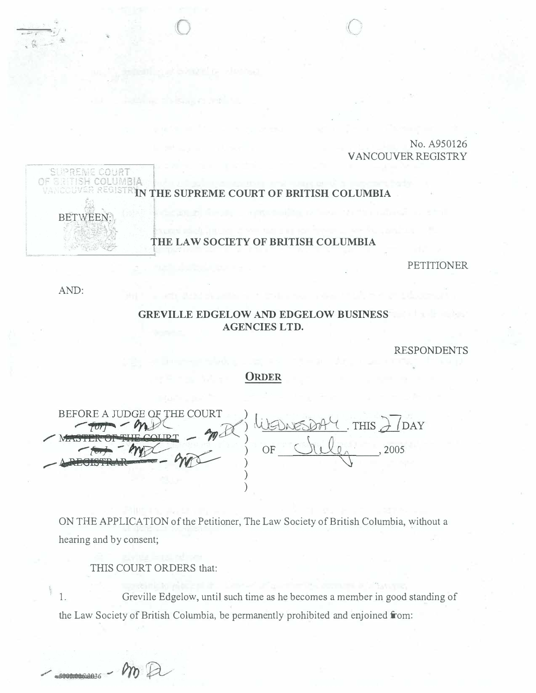No. A950126 **VANCOUVER REGISTRY** 



**PETITIONER** 

AND:

## GREVILLE EDGELOW AND EDGELOW BUSINESS **AGENCIES LTD.**

**RESPONDENTS** 

## **ORDER**

BEFORE A JUDGE OF THE COURT THIS JOAY OF 2005

ON THE APPLICATION of the Petitioner, The Law Society of British Columbia, without a hearing and by consent;

THIS COURT ORDERS that:

Greville Edgelow, until such time as he becomes a member in good standing of  $1.$ the Law Society of British Columbia, be permanently prohibited and enjoined from: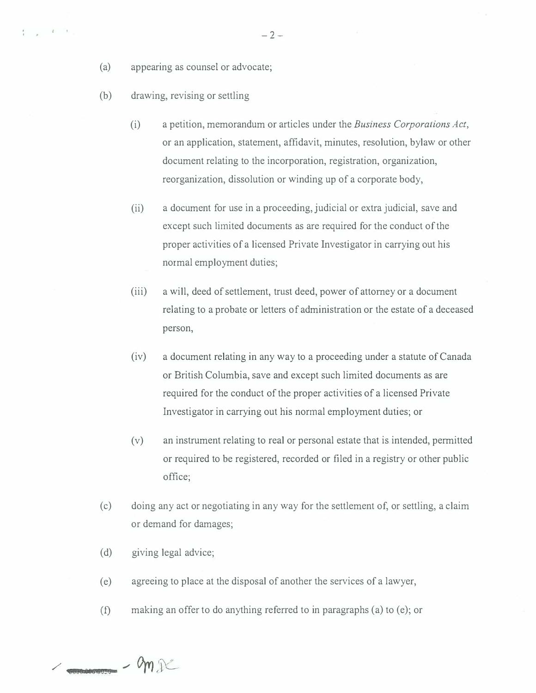- (a) appearing as counsel or advocate;
- (b) drawing, revising or settling

 $\frac{1}{4}$  ,  $\frac{1}{2}$  ,  $\frac{1}{4}$  ,  $\frac{1}{4}$ 

- (i) a petition, memorandum or articles under the Business Corporations Act, or an application, statement, affidavit, minutes, resolution, bylaw or other document relating to the incorporation, registration, organization, reorganization, dissolution or winding up of a corporate body,
- (ii) a document for use in a proceeding, judicial or extra judicial, save and except such limited documents as are required for the conduct of the proper activities of a licensed Private Investigator in carrying out his normal employment duties;
- (iii) a will, deed of settlement, trust deed, power of attorney or a document relating to a probate or letters of administration or the estate of a deceased person,
- (iv) a document relating in any way to a proceeding under a statute of Canada or British Columbia, save and except such limited documents as are required for the conduct of the proper activities of a licensed Private Investigator in carrying out his normal employment duties; or
- (v) an instrument relating to real or personal estate that is intended, permitted or required to be registered, recorded or filed in a registry or other public office;
- (c) doing any act or negotiating in any way for the settlement of, or settling, a claim or demand for damages;
- (d) giving legal advice;
- (e) agreeing to place at the disposal of another the services of a lawyer,
- (f) making an offer to do anything referred to in paragraphs (a) to (e); or

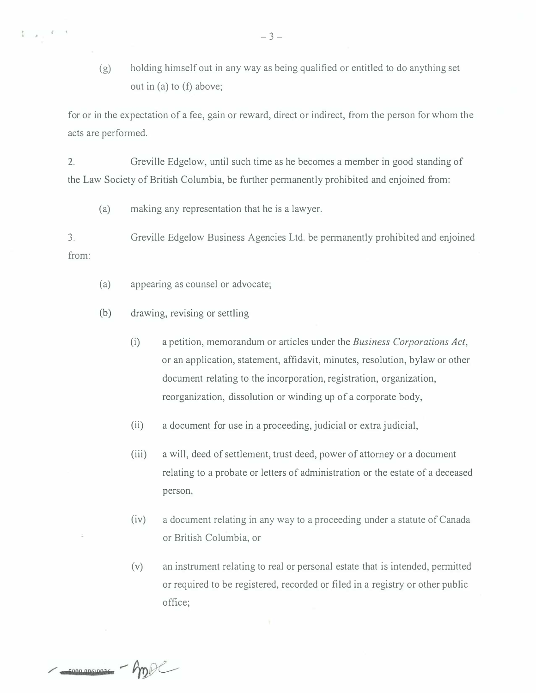(g) holding himself out in any way as being qualified or entitled to do anything set out in (a) to (f) above;

for or in the expectation of a fee, gain or reward, direct or indirect, from the person for whom the acts are performed.

2. Greville Edgelow, until such time as he becomes a member in good standing of the Law Society of British Columbia, be further permanently prohibited and enjoined from:

(a) making any representation that he is a lawyer.

3 . from: Greville Edgelow Business Agencies Ltd. be pennanently prohibited and enjoined

- (a) appearing as counsel or advocate;
- (b) drawing, revising or settling

 $\{ \ldots, \ldots, \ell-1 \}$ 

- (i) a petition, memorandum or articles under the Business Corporations Act, or an application, statement, affidavit, minutes, resolution, bylaw or other document relating to the incorporation, registration, organization, reorganization, dissolution or winding up of a corporate body,
- (ii) a document for use in a proceeding, judicial or extra judicial,
- (iii) a will, deed of settlement, trust deed, power of attorney or a document relating to a probate or letters of administration or the estate of a deceased person,
- (iv) a document relating in any way to a proceeding under a statute of Canada or British Columbia, or
- (v) an instrument relating to real or personal estate that is intended, permitted or required to be registered, recorded or filed in a registry or other public office;

-compromoses - hpp